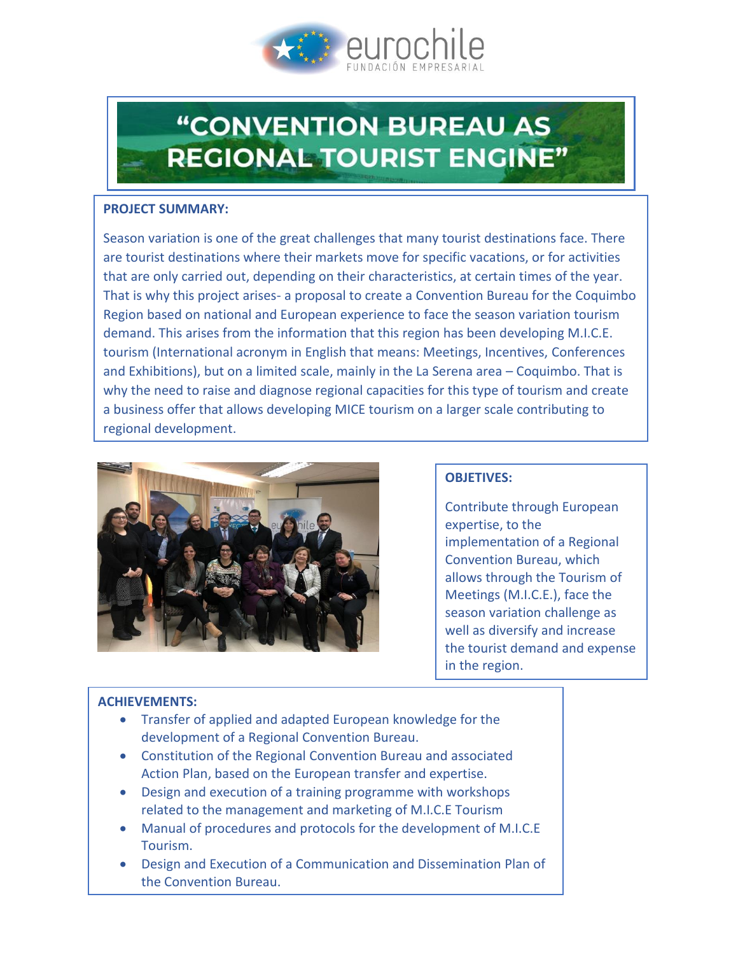

# **"CONVENTION BUREAU AS REGIONAL TOURIST ENGINE"**

### **PROJECT SUMMARY:**

Season variation is one of the great challenges that many tourist destinations face. There are tourist destinations where their markets move for specific vacations, or for activities that are only carried out, depending on their characteristics, at certain times of the year. That is why this project arises- a proposal to create a Convention Bureau for the Coquimbo Region based on national and European experience to face the season variation tourism demand. This arises from the information that this region has been developing M.I.C.E. tourism (International acronym in English that means: Meetings, Incentives, Conferences and Exhibitions), but on a limited scale, mainly in the La Serena area – Coquimbo. That is why the need to raise and diagnose regional capacities for this type of tourism and create a business offer that allows developing MICE tourism on a larger scale contributing to regional development.



# **OBJETIVES:**

Contribute through European expertise, to the implementation of a Regional Convention Bureau, which allows through the Tourism of Meetings (M.I.C.E.), face the season variation challenge as well as diversify and increase the tourist demand and expense in the region.

# **ACHIEVEMENTS:**

- Transfer of applied and adapted European knowledge for the development of a Regional Convention Bureau.
- Constitution of the Regional Convention Bureau and associated Action Plan, based on the European transfer and expertise.
- Design and execution of a training programme with workshops related to the management and marketing of M.I.C.E Tourism
- Manual of procedures and protocols for the development of M.I.C.E Tourism.
- Design and Execution of a Communication and Dissemination Plan of the Convention Bureau.